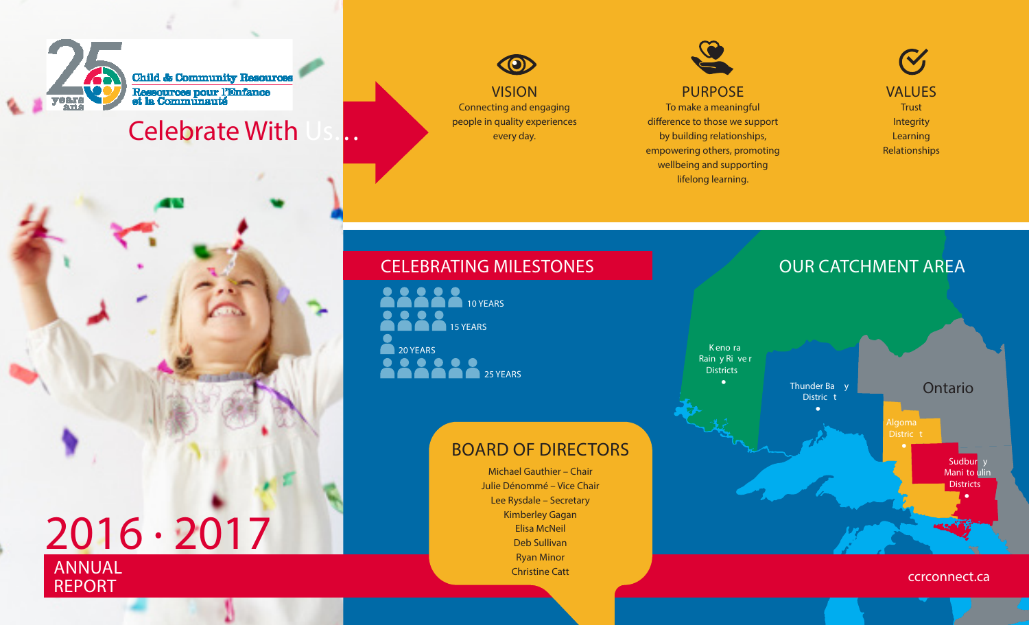

# **Celebrate With**



Connecting and engaging people in quality experiences every day.



#### PURPOSE

To make a meaningful difference to those we support by building relationships, empowering others, promoting wellbeing and supporting lifelong learning.

V **VALUES Trust Integrity** Learning Relationships



#### **CELEBRATING MILESTONES CELEBRATING MILESTONES**

**2 8 8 8 10 YEARS** 20 YEARS 15 YEARS **200220** 25 YEARS

### BOARD OF DIRECTORS

Michael Gauthier – Chair Julie Dénommé – Vice Chair Lee Rysdale – Secretary Kimberley Gagan Elisa McNeil Deb Sullivan Ryan Minor Christine Catt

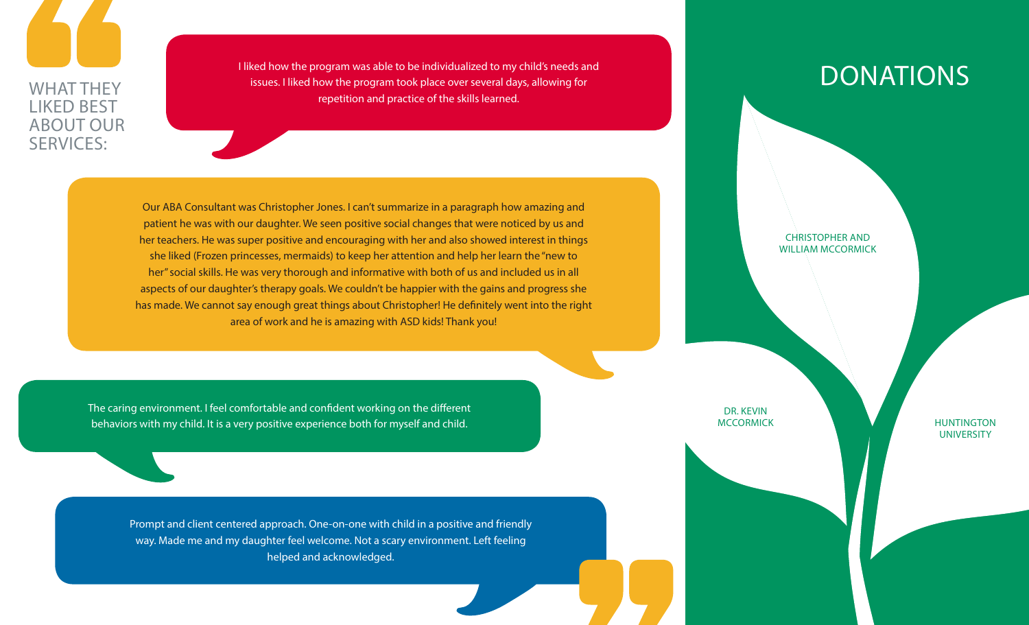WHAT THEY LIKED BEST ABOUT OUR SERVICES:

I liked how the program was able to be individualized to my child's needs and issues. I liked how the program took place over several days, allowing for repetition and practice of the skills learned.

## DONATIONS

Our ABA Consultant was Christopher Jones. I can't summarize in a paragraph how amazing and patient he was with our daughter. We seen positive social changes that were noticed by us and her teachers. He was super positive and encouraging with her and also showed interest in things she liked (Frozen princesses, mermaids) to keep her attention and help her learn the "new to her" social skills. He was very thorough and informative with both of us and included us in all aspects of our daughter's therapy goals. We couldn't be happier with the gains and progress she has made. We cannot say enough great things about Christopher! He definitely went into the right area of work and he is amazing with ASD kids! Thank you!

The caring environment. I feel comfortable and confident working on the different behaviors with my child. It is a very positive experience both for myself and child.

> Prompt and client centered approach. One-on-one with child in a positive and friendly way. Made me and my daughter feel welcome. Not a scary environment. Left feeling helped and acknowledged.

CHRISTOPHER AND WILLIAM MCCORMICK

DR. KEVIN

MCCORMICK NEWSTAND NEWSTAND HUNTINGTON **UNIVERSITY**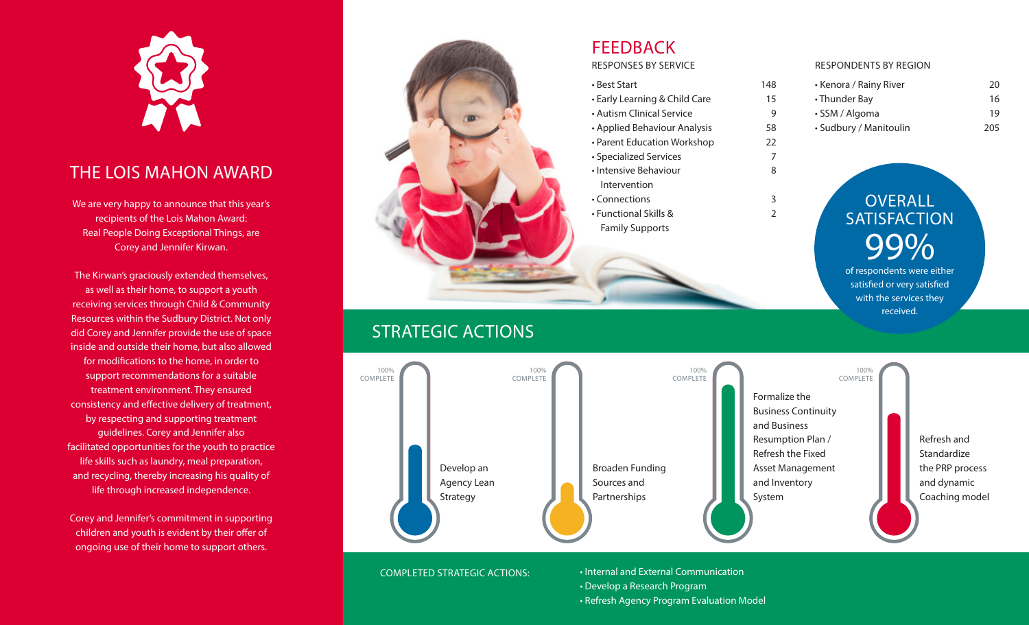

#### THE LOIS MAHON AWARD

We are very happy to announce that this year's recipients of the Lois Mahon Award: Real People Doing Exceptional Things, are Corey and Jennifer Kirwan.

The Kirwan's graciously extended themselves, as well as their home, to support a youth receiving services through Child & Community Resources within the Sudbury District. Not only did Corey and Jennifer provide the use of space inside and outside their home, but also allowed for modifications to the home, in order to support recommendations for a suitable treatment environment. They ensured consistency and effective delivery of treatment, by respecting and supporting treatment guidelines. Corey and Jennifer also facilitated opportunities for the youth to practice life skills such as laundry, meal preparation, and recycling, thereby increasing his quality of life through increased independence.

Corey and Jennifer's commitment in supporting children and youth is evident by their offer of ongoing use of their home to support others.

#### FEEDBACK

RESPONSES BY SERVICE

- Best Start 148 • Early Learning & Child Care 15 • Autism Clinical Service 9
- Applied Behaviour Analysis 58
- Parent Education Workshop 22
- Specialized Services 7
- Intensive Behaviour 8 Intervention • Connections 3
- Functional Skills & 2 Family Supports

#### RESPONDENTS BY REGION

• Kenora / Rainy River 20 • Thunder Bay 16 • SSM / Algoma 19 • Sudbury / Manitoulin 205

## OVERALL **SATISFACTION** 99%

of respondents were either satisfied or very satisfied with the services they received.

#### STRATEGIC ACTIONS



COMPLETED STRATEGIC ACTIONS:

• Internal and External Communication • Develop a Research Program • Refresh Agency Program Evaluation Model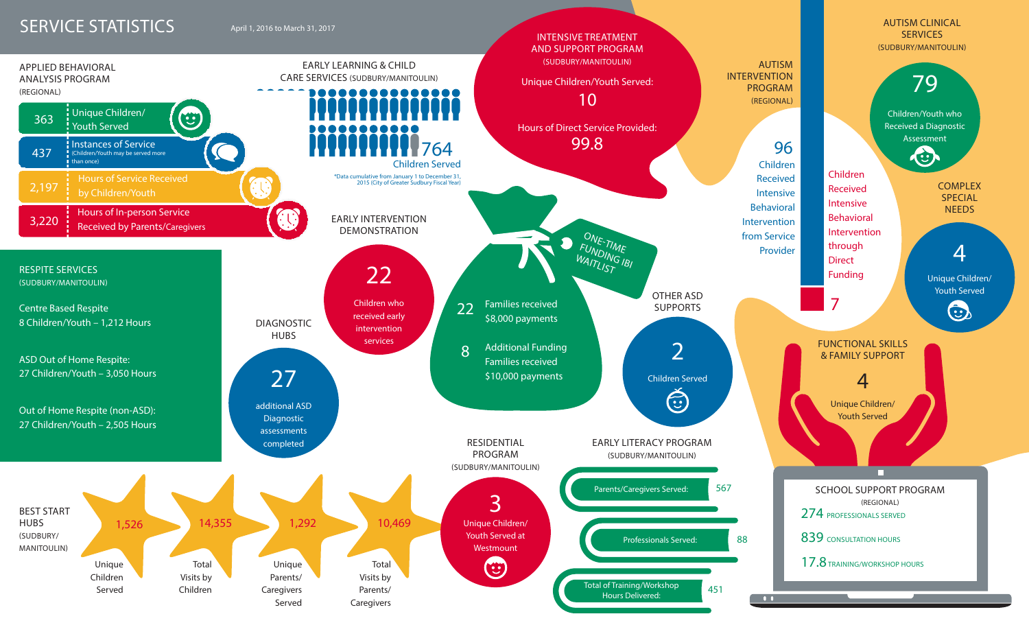